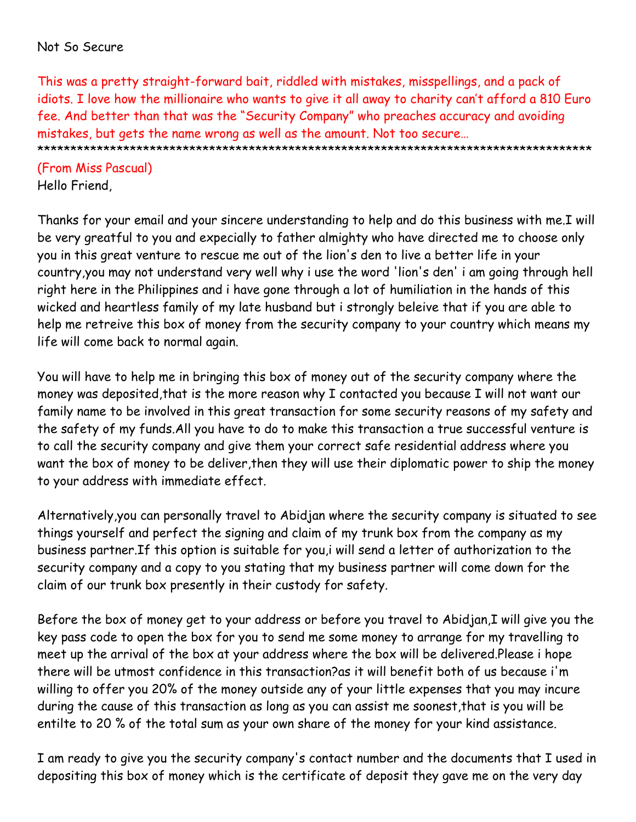### Not So Secure

This was a pretty straight-forward bait, riddled with mistakes, misspellings, and a pack of idiots. I love how the millionaire who wants to give it all away to charity can't afford a 810 Euro fee. And better than that was the "Security Company" who preaches accuracy and avoiding mistakes, but gets the name wrong as well as the amount. Not too secure… \*\*\*\*\*\*\*\*\*\*\*\*\*\*\*\*\*\*\*\*\*\*\*\*\*\*\*\*\*\*\*\*\*\*\*\*\*\*\*\*\*\*\*\*\*\*\*\*\*\*\*\*\*\*\*\*\*\*\*\*\*\*\*\*\*\*\*\*\*\*\*\*\*\*\*\*\*\*\*\*\*\*\*\*

(From Miss Pascual) Hello Friend,

Thanks for your email and your sincere understanding to help and do this business with me.I will be very greatful to you and expecially to father almighty who have directed me to choose only you in this great venture to rescue me out of the lion's den to live a better life in your country,you may not understand very well why i use the word 'lion's den' i am going through hell right here in the Philippines and i have gone through a lot of humiliation in the hands of this wicked and heartless family of my late husband but i strongly beleive that if you are able to help me retreive this box of money from the security company to your country which means my life will come back to normal again.

You will have to help me in bringing this box of money out of the security company where the money was deposited,that is the more reason why I contacted you because I will not want our family name to be involved in this great transaction for some security reasons of my safety and the safety of my funds.All you have to do to make this transaction a true successful venture is to call the security company and give them your correct safe residential address where you want the box of money to be deliver,then they will use their diplomatic power to ship the money to your address with immediate effect.

Alternatively,you can personally travel to Abidjan where the security company is situated to see things yourself and perfect the signing and claim of my trunk box from the company as my business partner.If this option is suitable for you,i will send a letter of authorization to the security company and a copy to you stating that my business partner will come down for the claim of our trunk box presently in their custody for safety.

Before the box of money get to your address or before you travel to Abidjan,I will give you the key pass code to open the box for you to send me some money to arrange for my travelling to meet up the arrival of the box at your address where the box will be delivered.Please i hope there will be utmost confidence in this transaction?as it will benefit both of us because i'm willing to offer you 20% of the money outside any of your little expenses that you may incure during the cause of this transaction as long as you can assist me soonest,that is you will be entilte to 20 % of the total sum as your own share of the money for your kind assistance.

I am ready to give you the security company's contact number and the documents that I used in depositing this box of money which is the certificate of deposit they gave me on the very day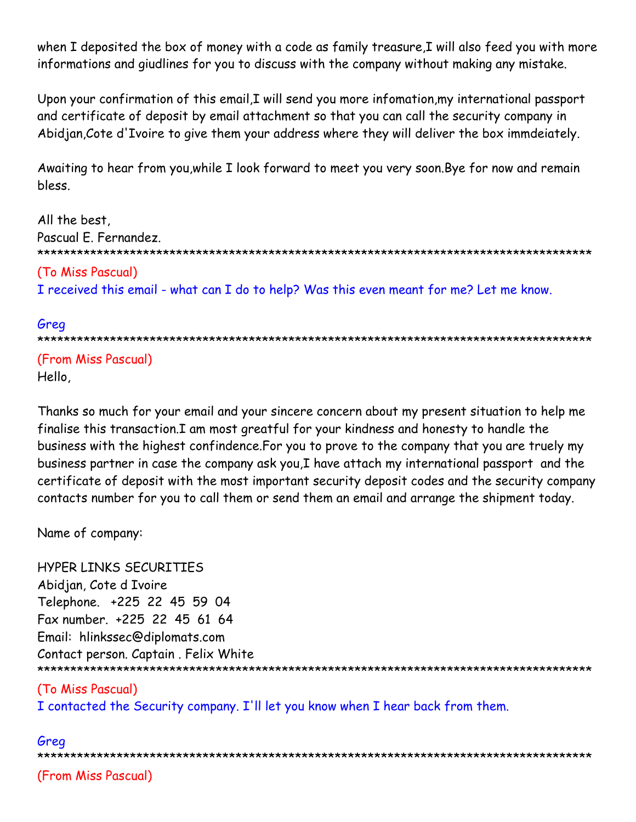when I deposited the box of money with a code as family treasure, I will also feed you with more informations and giudlines for you to discuss with the company without making any mistake.

Upon your confirmation of this email, I will send you more infomation, my international passport and certificate of deposit by email attachment so that you can call the security company in Abidjan, Cote d'Ivoire to give them your address where they will deliver the box immdeiately.

Awaiting to hear from you, while I look forward to meet you very soon. Bye for now and remain bless.

```
All the best,
Pascual E. Fernandez.
(To Miss Pascual)
I received this email - what can I do to help? Was this even meant for me? Let me know.
```
# Grea

```
(From Miss Pascual)
Hello,
```
Thanks so much for your email and your sincere concern about my present situation to help me finalise this transaction.I am most greatful for your kindness and honesty to handle the business with the highest confindence. For you to prove to the company that you are truely my business partner in case the company ask you, I have attach my international passport and the certificate of deposit with the most important security deposit codes and the security company contacts number for you to call them or send them an email and arrange the shipment today.

Name of company:

HYPER LINKS SECURITIES Abidjan, Cote d Ivoire Telephone. +225 22 45 59 04 Fax number. +225 22 45 61 64 Email: hlinkssec@diplomats.com Contact person. Captain. Felix White 

# (To Miss Pascual)

I contacted the Security company. I'll let you know when I hear back from them.

# Grea (From Miss Pascual)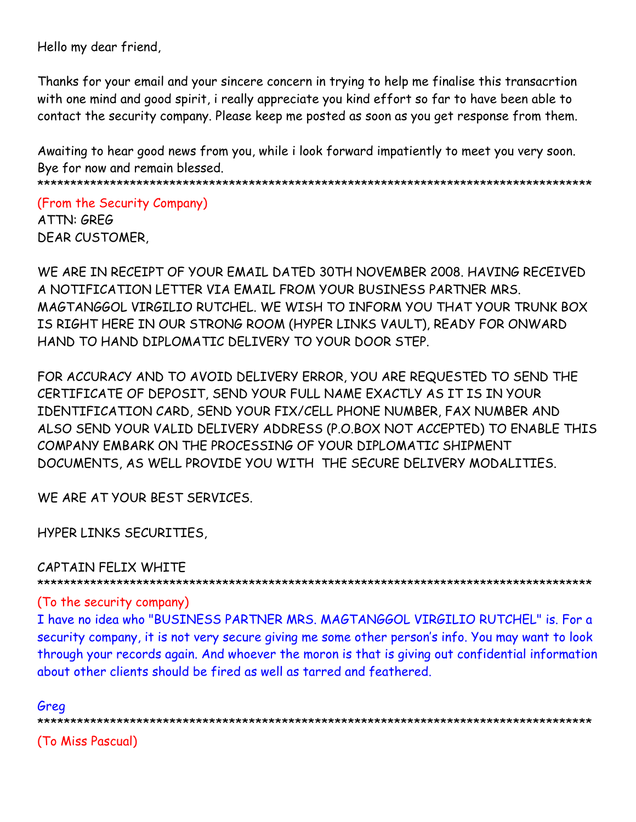Hello my dear friend,

Thanks for your email and your sincere concern in trying to help me finalise this transacrtion with one mind and good spirit, i really appreciate you kind effort so far to have been able to contact the security company. Please keep me posted as soon as you get response from them.

Awaiting to hear good news from you, while i look forward impatiently to meet you very soon. Bye for now and remain blessed.

\*\*\*\*\*\*\*\*\*\*\*\*\*\*\*\*\*\*\*\*\*\*\*\*\*\*\*\*\*\*\*\*\*\*\*\*\*\*\*\*\*\*\*\*\*\*\*\*\*\*\*\*\*\*\*\*\*\*\*\*\*\*\*\*\*\*\*\*\*\*\*\*\*\*\*\*\*\*\*\*\*\*\*\*

(From the Security Company) ATTN: GREG

DEAR CUSTOMER,

WE ARE IN RECEIPT OF YOUR EMAIL DATED 30TH NOVEMBER 2008. HAVING RECEIVED A NOTIFICATION LETTER VIA EMAIL FROM YOUR BUSINESS PARTNER MRS. MAGTANGGOL VIRGILIO RUTCHEL. WE WISH TO INFORM YOU THAT YOUR TRUNK BOX IS RIGHT HERE IN OUR STRONG ROOM (HYPER LINKS VAULT), READY FOR ONWARD HAND TO HAND DIPLOMATIC DELIVERY TO YOUR DOOR STEP.

FOR ACCURACY AND TO AVOID DELIVERY ERROR, YOU ARE REQUESTED TO SEND THE CERTIFICATE OF DEPOSIT, SEND YOUR FULL NAME EXACTLY AS IT IS IN YOUR IDENTIFICATION CARD, SEND YOUR FIX/CELL PHONE NUMBER, FAX NUMBER AND ALSO SEND YOUR VALID DELIVERY ADDRESS (P.O.BOX NOT ACCEPTED) TO ENABLE THIS COMPANY EMBARK ON THE PROCESSING OF YOUR DIPLOMATIC SHIPMENT DOCUMENTS, AS WELL PROVIDE YOU WITH THE SECURE DELIVERY MODALITIES.

WE ARE AT YOUR BEST SERVICES.

HYPER LINKS SECURITIES,

CAPTAIN FELIX WHITE

\*\*\*\*\*\*\*\*\*\*\*\*\*\*\*\*\*\*\*\*\*\*\*\*\*\*\*\*\*\*\*\*\*\*\*\*\*\*\*\*\*\*\*\*\*\*\*\*\*\*\*\*\*\*\*\*\*\*\*\*\*\*\*\*\*\*\*\*\*\*\*\*\*\*\*\*\*\*\*\*\*\*\*\*

### (To the security company)

I have no idea who "BUSINESS PARTNER MRS. MAGTANGGOL VIRGILIO RUTCHEL" is. For a security company, it is not very secure giving me some other person's info. You may want to look through your records again. And whoever the moron is that is giving out confidential information about other clients should be fired as well as tarred and feathered.

Greg \*\*\*\*\*\*\*\*\*\*\*\*\*\*\*\*\*\*\*\*\*\*\*\*\*\*\*\*\*\*\*\*\*\*\*\*\*\*\*\*\*\*\*\*\*\*\*\*\*\*\*\*\*\*\*\*\*\*\*\*\*\*\*\*\*\*\*\*\*\*\*\*\*\*\*\*\*\*\*\*\*\*\*\* (To Miss Pascual)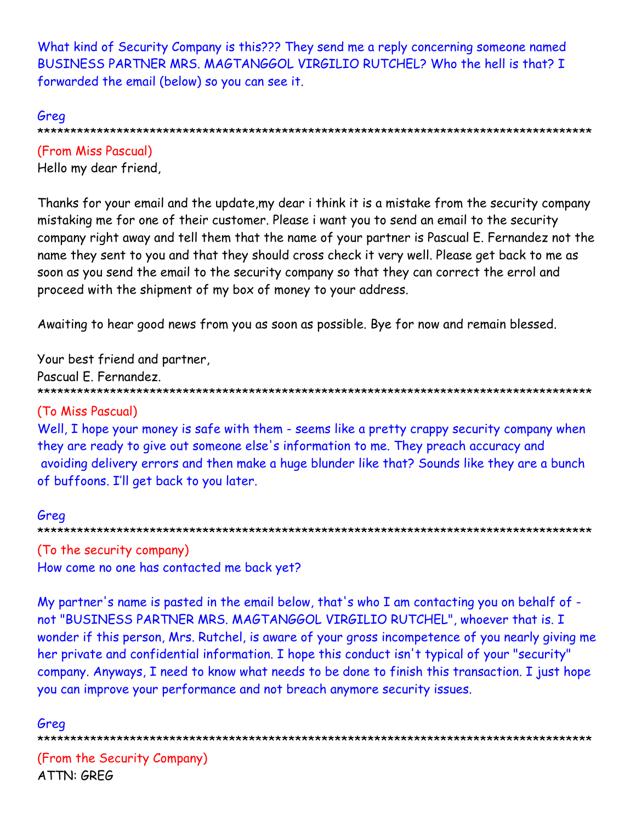What kind of Security Company is this??? They send me a reply concerning someone named BUSINESS PARTNER MRS. MAGTANGGOL VIRGILIO RUTCHEL? Who the hell is that? I forwarded the email (below) so you can see it.

#### Greg

(From Miss Pascual) Hello my dear friend,

Thanks for your email and the update, my dear i think it is a mistake from the security company mistaking me for one of their customer. Please i want you to send an email to the security company right away and tell them that the name of your partner is Pascual E. Fernandez not the name they sent to you and that they should cross check it very well. Please get back to me as soon as you send the email to the security company so that they can correct the errol and proceed with the shipment of my box of money to your address.

Awaiting to hear good news from you as soon as possible. Bye for now and remain blessed.

Your best friend and partner,

Pascual E. Fernandez.

### (To Miss Pascual)

Well, I hope your money is safe with them - seems like a pretty crappy security company when they are ready to give out someone else's information to me. They preach accuracy and avoiding delivery errors and then make a huge blunder like that? Sounds like they are a bunch of buffoons. I'll get back to you later.

#### Greg

(To the security company) How come no one has contacted me back yet?

My partner's name is pasted in the email below, that's who I am contacting you on behalf of not "BUSINESS PARTNER MRS. MAGTANGGOL VIRGILIO RUTCHEL", whoever that is. I wonder if this person, Mrs. Rutchel, is aware of your gross incompetence of you nearly giving me her private and confidential information. I hope this conduct isn't typical of your "security" company. Anyways, I need to know what needs to be done to finish this transaction. I just hope you can improve your performance and not breach anymore security issues.

#### Greg

(From the Security Company) ATTN: GRFG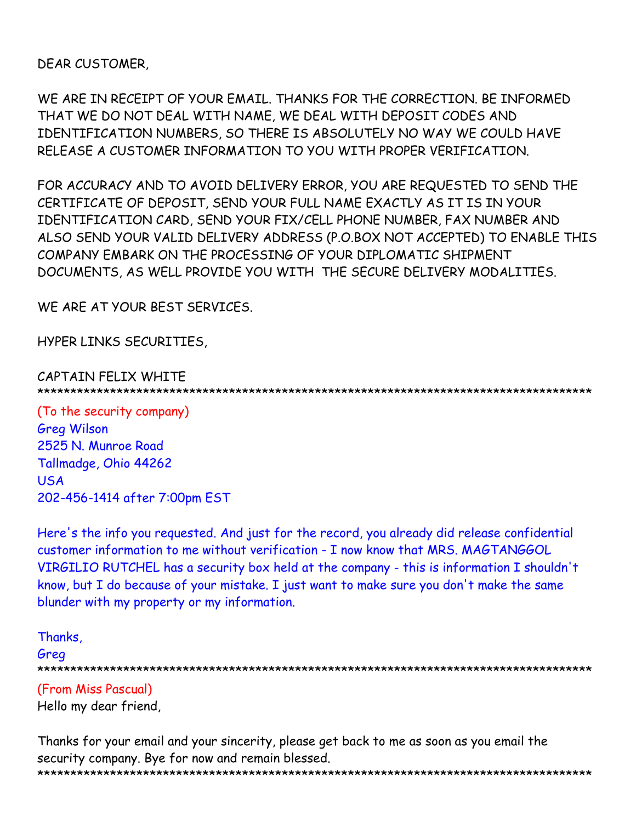DEAR CUSTOMER,

WE ARE IN RECEIPT OF YOUR EMAIL. THANKS FOR THE CORRECTION. BE INFORMED THAT WE DO NOT DEAL WITH NAME, WE DEAL WITH DEPOSIT CODES AND IDENTIFICATION NUMBERS, SO THERE IS ABSOLUTELY NO WAY WE COULD HAVE RELEASE A CUSTOMER INFORMATION TO YOU WITH PROPER VERIFICATION.

FOR ACCURACY AND TO AVOID DELIVERY ERROR, YOU ARE REQUESTED TO SEND THE CERTIFICATE OF DEPOSIT, SEND YOUR FULL NAME EXACTLY AS IT IS IN YOUR IDENTIFICATION CARD, SEND YOUR FIX/CELL PHONE NUMBER, FAX NUMBER AND ALSO SEND YOUR VALID DELIVERY ADDRESS (P.O.BOX NOT ACCEPTED) TO ENABLE THIS COMPANY EMBARK ON THE PROCESSING OF YOUR DIPLOMATIC SHIPMENT DOCUMENTS, AS WELL PROVIDE YOU WITH THE SECURE DELIVERY MODALITIES.

WE ARE AT YOUR BEST SERVICES.

HYPER LINKS SECURITIES,

#### CAPTAIN FELIX WHITE \*\*\*\*\*\*\*\*\*\*\*\*\*\*\*\*\*\*\*\*\*\*\*\*\*\*\*\*\*\*\*\*\*\*\*\*\*\*\*\*\*\*\*\*\*\*\*\*\*\*\*\*\*\*\*\*\*\*\*\*\*\*\*\*\*\*\*\*\*\*\*\*\*\*\*\*\*\*\*\*\*\*\*\*

(To the security company) Greg Wilson 2525 N. Munroe Road Tallmadge, Ohio 44262 USA 202-456-1414 after 7:00pm EST

Here's the info you requested. And just for the record, you already did release confidential customer information to me without verification - I now know that MRS. MAGTANGGOL VIRGILIO RUTCHEL has a security box held at the company - this is information I shouldn't know, but I do because of your mistake. I just want to make sure you don't make the same blunder with my property or my information.

Thanks, Greg \*\*\*\*\*\*\*\*\*\*\*\*\*\*\*\*\*\*\*\*\*\*\*\*\*\*\*\*\*\*\*\*\*\*\*\*\*\*\*\*\*\*\*\*\*\*\*\*\*\*\*\*\*\*\*\*\*\*\*\*\*\*\*\*\*\*\*\*\*\*\*\*\*\*\*\*\*\*\*\*\*\*\*\* (From Miss Pascual)

Hello my dear friend,

Thanks for your email and your sincerity, please get back to me as soon as you email the security company. Bye for now and remain blessed. \*\*\*\*\*\*\*\*\*\*\*\*\*\*\*\*\*\*\*\*\*\*\*\*\*\*\*\*\*\*\*\*\*\*\*\*\*\*\*\*\*\*\*\*\*\*\*\*\*\*\*\*\*\*\*\*\*\*\*\*\*\*\*\*\*\*\*\*\*\*\*\*\*\*\*\*\*\*\*\*\*\*\*\*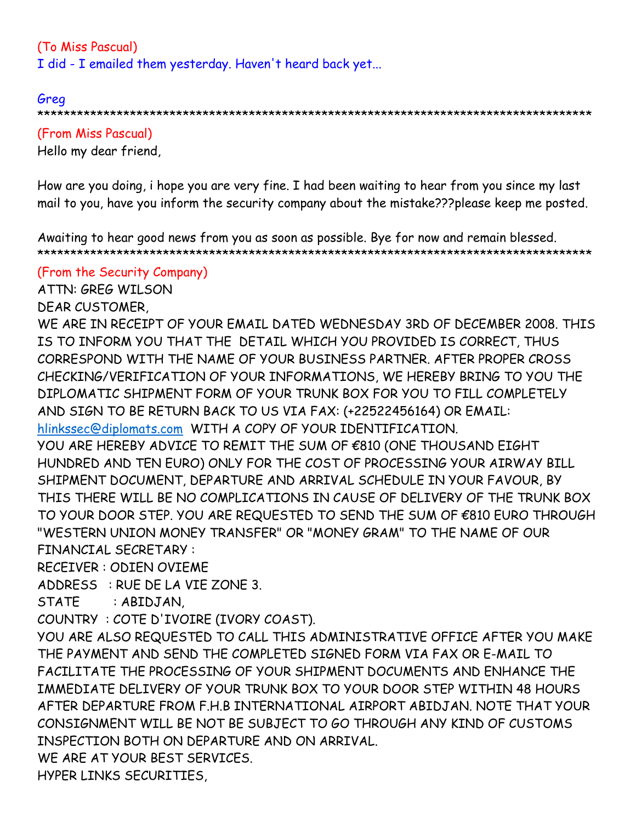# (To Miss Pascual) I did - I emailed them yesterday. Haven't heard back yet...

Greg \*\*\*\*\*\*\*\*\*\*\*\*\*\*\*\*\*\*\*\*\*\*\*\*\*\*\*\*\*\*\*\*\*\*\*\*\*\*\*\*\*\*\*\*\*\*\*\*\*\*\*\*\*\*\*\*\*\*\*\*\*\*\*\*\*\*\*\*\*\*\*\*\*\*\*\*\*\*\*\*\*\*\*\*

(From Miss Pascual) Hello my dear friend,

How are you doing, i hope you are very fine. I had been waiting to hear from you since my last mail to you, have you inform the security company about the mistake???please keep me posted.

Awaiting to hear good news from you as soon as possible. Bye for now and remain blessed. \*\*\*\*\*\*\*\*\*\*\*\*\*\*\*\*\*\*\*\*\*\*\*\*\*\*\*\*\*\*\*\*\*\*\*\*\*\*\*\*\*\*\*\*\*\*\*\*\*\*\*\*\*\*\*\*\*\*\*\*\*\*\*\*\*\*\*\*\*\*\*\*\*\*\*\*\*\*\*\*\*\*\*\*

(From the Security Company)

ATTN: GREG WILSON

DEAR CUSTOMER,

WE ARE IN RECEIPT OF YOUR EMAIL DATED WEDNESDAY 3RD OF DECEMBER 2008. THIS IS TO INFORM YOU THAT THE DETAIL WHICH YOU PROVIDED IS CORRECT, THUS CORRESPOND WITH THE NAME OF YOUR BUSINESS PARTNER. AFTER PROPER CROSS CHECKING/VERIFICATION OF YOUR INFORMATIONS, WE HEREBY BRING TO YOU THE DIPLOMATIC SHIPMENT FORM OF YOUR TRUNK BOX FOR YOU TO FILL COMPLETELY AND SIGN TO BE RETURN BACK TO US VIA FAX: (+22522456164) OR EMAIL: hlinkssec@diplomats.com WITH A COPY OF YOUR IDENTIFICATION.

YOU ARE HEREBY ADVICE TO REMIT THE SUM OF €810 (ONE THOUSAND EIGHT HUNDRED AND TEN EURO) ONLY FOR THE COST OF PROCESSING YOUR AIRWAY BILL SHIPMENT DOCUMENT, DEPARTURE AND ARRIVAL SCHEDULE IN YOUR FAVOUR, BY THIS THERE WILL BE NO COMPLICATIONS IN CAUSE OF DELIVERY OF THE TRUNK BOX TO YOUR DOOR STEP. YOU ARE REQUESTED TO SEND THE SUM OF €810 EURO THROUGH "WESTERN UNION MONEY TRANSFER" OR "MONEY GRAM" TO THE NAME OF OUR FINANCIAL SECRETARY :

RECEIVER : ODIEN OVIEME

ADDRESS : RUE DE LA VIE ZONE 3.

STATE : ABIDJAN,

COUNTRY : COTE D'IVOIRE (IVORY COAST).

YOU ARE ALSO REQUESTED TO CALL THIS ADMINISTRATIVE OFFICE AFTER YOU MAKE THE PAYMENT AND SEND THE COMPLETED SIGNED FORM VIA FAX OR E-MAIL TO FACILITATE THE PROCESSING OF YOUR SHIPMENT DOCUMENTS AND ENHANCE THE IMMEDIATE DELIVERY OF YOUR TRUNK BOX TO YOUR DOOR STEP WITHIN 48 HOURS AFTER DEPARTURE FROM F.H.B INTERNATIONAL AIRPORT ABIDJAN. NOTE THAT YOUR CONSIGNMENT WILL BE NOT BE SUBJECT TO GO THROUGH ANY KIND OF CUSTOMS INSPECTION BOTH ON DEPARTURE AND ON ARRIVAL. WE ARE AT YOUR BEST SERVICES.

HYPER LINKS SECURITIES,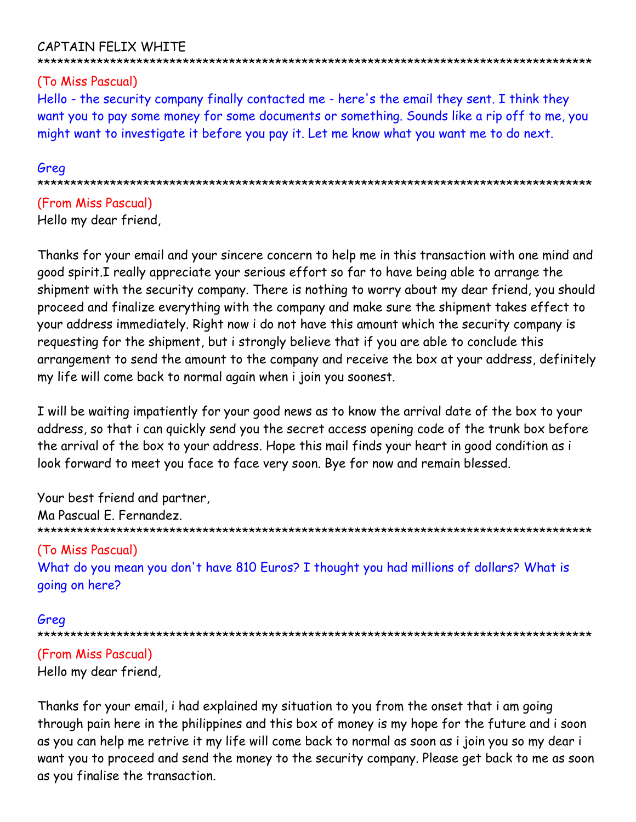# CAPTAIN FELIX WHITE

### \*\*\*\*\*\*\*\*\*\*\*\*\*\*\*\*\*\*\*\*\*\*\*\*\*\*\*\*\*\*\*\*\*\*\*\*\*\*\*\*\*\*\*\*\*\*\*\*\*\*\*\*\*\*\*\*\*\*\*\*\*\*\*\*\*\*\*\*\*\*\*\*\*\*\*\*\*\*\*\*\*\*\*\*

# (To Miss Pascual)

Hello - the security company finally contacted me - here's the email they sent. I think they want you to pay some money for some documents or something. Sounds like a rip off to me, you might want to investigate it before you pay it. Let me know what you want me to do next.

### Greg

\*\*\*\*\*\*\*\*\*\*\*\*\*\*\*\*\*\*\*\*\*\*\*\*\*\*\*\*\*\*\*\*\*\*\*\*\*\*\*\*\*\*\*\*\*\*\*\*\*\*\*\*\*\*\*\*\*\*\*\*\*\*\*\*\*\*\*\*\*\*\*\*\*\*\*\*\*\*\*\*\*\*\*\*

# (From Miss Pascual) Hello my dear friend,

Thanks for your email and your sincere concern to help me in this transaction with one mind and good spirit.I really appreciate your serious effort so far to have being able to arrange the shipment with the security company. There is nothing to worry about my dear friend, you should proceed and finalize everything with the company and make sure the shipment takes effect to your address immediately. Right now i do not have this amount which the security company is requesting for the shipment, but i strongly believe that if you are able to conclude this arrangement to send the amount to the company and receive the box at your address, definitely my life will come back to normal again when i join you soonest.

I will be waiting impatiently for your good news as to know the arrival date of the box to your address, so that i can quickly send you the secret access opening code of the trunk box before the arrival of the box to your address. Hope this mail finds your heart in good condition as i look forward to meet you face to face very soon. Bye for now and remain blessed.

Your best friend and partner, Ma Pascual E. Fernandez. \*\*\*\*\*\*\*\*\*\*\*\*\*\*\*\*\*\*\*\*\*\*\*\*\*\*\*\*\*\*\*\*\*\*\*\*\*\*\*\*\*\*\*\*\*\*\*\*\*\*\*\*\*\*\*\*\*\*\*\*\*\*\*\*\*\*\*\*\*\*\*\*\*\*\*\*\*\*\*\*\*\*\*\* (To Miss Pascual) What do you mean you don't have 810 Euros? I thought you had millions of dollars? What is going on here?

### Greg

\*\*\*\*\*\*\*\*\*\*\*\*\*\*\*\*\*\*\*\*\*\*\*\*\*\*\*\*\*\*\*\*\*\*\*\*\*\*\*\*\*\*\*\*\*\*\*\*\*\*\*\*\*\*\*\*\*\*\*\*\*\*\*\*\*\*\*\*\*\*\*\*\*\*\*\*\*\*\*\*\*\*\*\*

# (From Miss Pascual)

Hello my dear friend,

Thanks for your email, i had explained my situation to you from the onset that i am going through pain here in the philippines and this box of money is my hope for the future and i soon as you can help me retrive it my life will come back to normal as soon as i join you so my dear i want you to proceed and send the money to the security company. Please get back to me as soon as you finalise the transaction.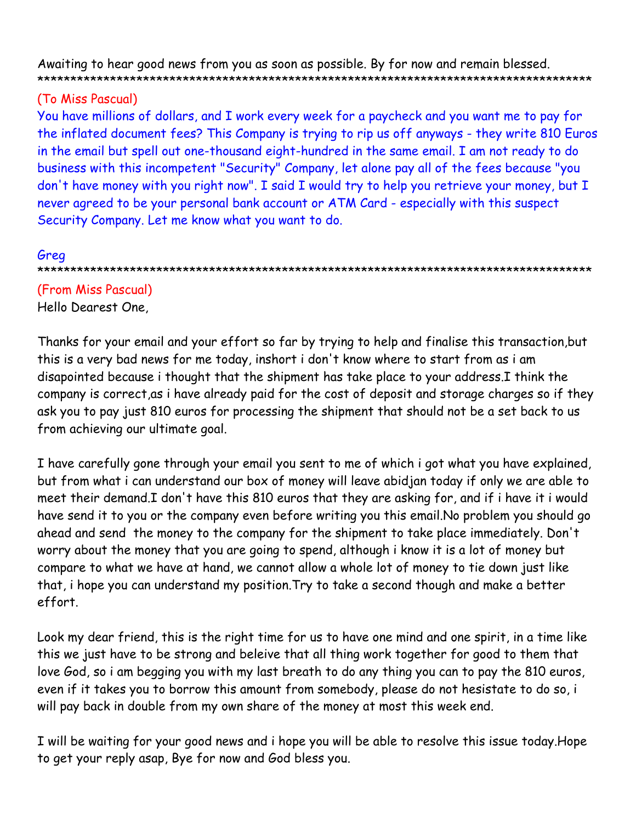Awaiting to hear good news from you as soon as possible. By for now and remain blessed. 

# (To Miss Pascual)

You have millions of dollars, and I work every week for a paycheck and you want me to pay for the inflated document fees? This Company is trying to rip us off anyways - they write 810 Euros in the email but spell out one-thousand eight-hundred in the same email. I am not ready to do business with this incompetent "Security" Company, let alone pay all of the fees because "you don't have money with you right now". I said I would try to help you retrieve your money, but I never agreed to be your personal bank account or ATM Card - especially with this suspect Security Company. Let me know what you want to do.

## Greg

(From Miss Pascual) Hello Dearest One,

Thanks for your email and your effort so far by trying to help and finalise this transaction, but this is a very bad news for me today, inshort i don't know where to start from as i am disapointed because i thought that the shipment has take place to your address.I think the company is correct, as i have already paid for the cost of deposit and storage charges so if they ask you to pay just 810 euros for processing the shipment that should not be a set back to us from achieving our ultimate goal.

I have carefully gone through your email you sent to me of which i got what you have explained, but from what i can understand our box of money will leave abidjan today if only we are able to meet their demand.I don't have this 810 euros that they are asking for, and if i have it i would have send it to you or the company even before writing you this email. No problem you should go ahead and send the money to the company for the shipment to take place immediately. Don't worry about the money that you are going to spend, although i know it is a lot of money but compare to what we have at hand, we cannot allow a whole lot of money to tie down just like that, i hope you can understand my position. Try to take a second though and make a better effort.

Look my dear friend, this is the right time for us to have one mind and one spirit, in a time like this we just have to be strong and beleive that all thing work together for good to them that love God, so i am begging you with my last breath to do any thing you can to pay the 810 euros, even if it takes you to borrow this amount from somebody, please do not hesistate to do so, i will pay back in double from my own share of the money at most this week end.

I will be waiting for your good news and i hope you will be able to resolve this issue today. Hope to get your reply asap, Bye for now and God bless you.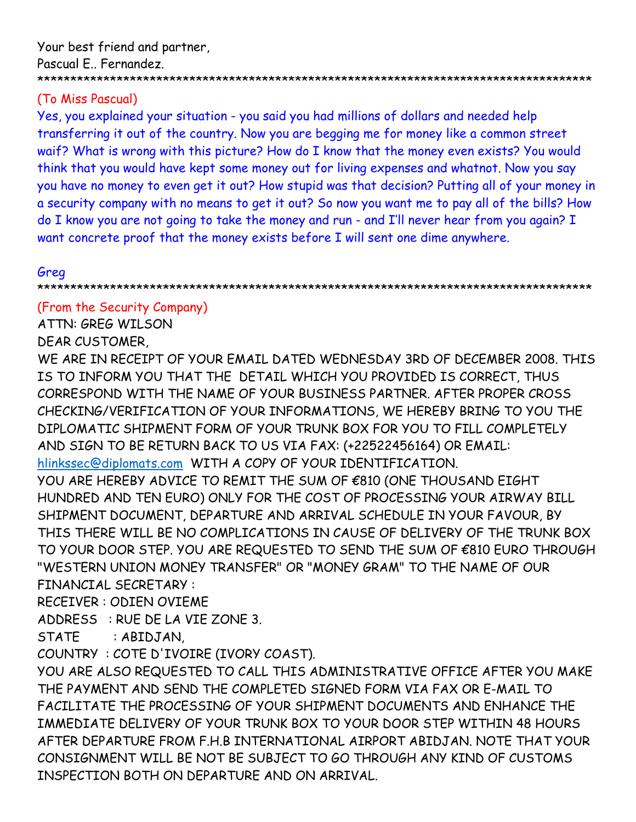## (To Miss Pascual)

Yes, you explained your situation - you said you had millions of dollars and needed help transferring it out of the country. Now you are begging me for money like a common street waif? What is wrong with this picture? How do I know that the money even exists? You would think that you would have kept some money out for living expenses and whatnot. Now you say you have no money to even get it out? How stupid was that decision? Putting all of your money in a security company with no means to get it out? So now you want me to pay all of the bills? How do I know you are not going to take the money and run - and I'll never hear from you again? I want concrete proof that the money exists before I will sent one dime anywhere.

### Greg

\*\*\*\*\*\*\*\*\*\*\*\*\*\*\*\*\*\*\*\*\*\*\*\*\*\*\*\*\*\*\*\*\*\*\*\*\*\*\*\*\*\*\*\*\*\*\*\*\*\*\*\*\*\*\*\*\*\*\*\*\*\*\*\*\*\*\*\*\*\*\*\*\*\*\*\*\*\*\*\*\*\*\*\*

## (From the Security Company)

ATTN: GREG WILSON

#### DEAR CUSTOMER,

WE ARE IN RECEIPT OF YOUR EMAIL DATED WEDNESDAY 3RD OF DECEMBER 2008. THIS IS TO INFORM YOU THAT THE DETAIL WHICH YOU PROVIDED IS CORRECT, THUS CORRESPOND WITH THE NAME OF YOUR BUSINESS PARTNER. AFTER PROPER CROSS CHECKING/VERIFICATION OF YOUR INFORMATIONS, WE HEREBY BRING TO YOU THE DIPLOMATIC SHIPMENT FORM OF YOUR TRUNK BOX FOR YOU TO FILL COMPLETELY AND SIGN TO BE RETURN BACK TO US VIA FAX: (+22522456164) OR EMAIL: hlinkssec@diplomats.com WITH A COPY OF YOUR IDENTIFICATION. YOU ARE HEREBY ADVICE TO REMIT THE SUM OF €810 (ONE THOUSAND EIGHT HUNDRED AND TEN EURO) ONLY FOR THE COST OF PROCESSING YOUR AIRWAY BILL SHIPMENT DOCUMENT, DEPARTURE AND ARRIVAL SCHEDULE IN YOUR FAVOUR, BY

THIS THERE WILL BE NO COMPLICATIONS IN CAUSE OF DELIVERY OF THE TRUNK BOX TO YOUR DOOR STEP. YOU ARE REQUESTED TO SEND THE SUM OF €810 EURO THROUGH "WESTERN UNION MONEY TRANSFER" OR "MONEY GRAM" TO THE NAME OF OUR FINANCIAL SECRETARY :

RECEIVER : ODIEN OVIEME

ADDRESS : RUE DE LA VIE ZONE 3.

STATE : ABIDJAN,

COUNTRY : COTE D'IVOIRE (IVORY COAST).

YOU ARE ALSO REQUESTED TO CALL THIS ADMINISTRATIVE OFFICE AFTER YOU MAKE THE PAYMENT AND SEND THE COMPLETED SIGNED FORM VIA FAX OR E-MAIL TO FACILITATE THE PROCESSING OF YOUR SHIPMENT DOCUMENTS AND ENHANCE THE IMMEDIATE DELIVERY OF YOUR TRUNK BOX TO YOUR DOOR STEP WITHIN 48 HOURS AFTER DEPARTURE FROM F.H.B INTERNATIONAL AIRPORT ABIDJAN. NOTE THAT YOUR CONSIGNMENT WILL BE NOT BE SUBJECT TO GO THROUGH ANY KIND OF CUSTOMS INSPECTION BOTH ON DEPARTURE AND ON ARRIVAL.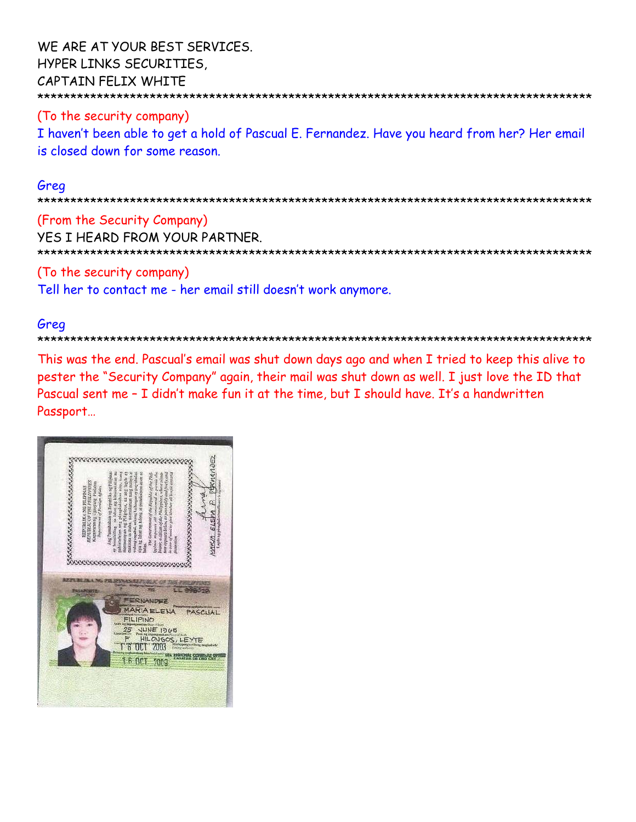WE ARE AT YOUR BEST SERVICES. HYPER LINKS SECURITIES, CAPTAIN FELIX WHITE \*\*\*\*\*\*\*\*\*\*\*\*\*\*\*\*\*\*\*\*\*\*\*\*\*\*\*\*\*\*\*\*\*\*\*\*\*\*\*\*\*\*\*\*\*\*\*\*\*\*\*\*\*\*\*\*\*\*\*\*\*\*\*\*\*\*\*\*\*\*\*\*\*\*\*\*\*\*\*\*\*\*\*\*

(To the security company) I haven't been able to get a hold of Pascual E. Fernandez. Have you heard from her? Her email is closed down for some reason.

#### Greg

\*\*\*\*\*\*\*\*\*\*\*\*\*\*\*\*\*\*\*\*\*\*\*\*\*\*\*\*\*\*\*\*\*\*\*\*\*\*\*\*\*\*\*\*\*\*\*\*\*\*\*\*\*\*\*\*\*\*\*\*\*\*\*\*\*\*\*\*\*\*\*\*\*\*\*\*\*\*\*\*\*\*\*\*

(From the Security Company) YES I HEARD FROM YOUR PARTNER. \*\*\*\*\*\*\*\*\*\*\*\*\*\*\*\*\*\*\*\*\*\*\*\*\*\*\*\*\*\*\*\*\*\*\*\*\*\*\*\*\*\*\*\*\*\*\*\*\*\*\*\*\*\*\*\*\*\*\*\*\*\*\*\*\*\*\*\*\*\*\*\*\*\*\*\*\*\*\*\*\*\*\*\*

(To the security company)

Tell her to contact me - her email still doesn't work anymore.

## Greg

\*\*\*\*\*\*\*\*\*\*\*\*\*\*\*\*\*\*\*\*\*\*\*\*\*\*\*\*\*\*\*\*\*\*\*\*\*\*\*\*\*\*\*\*\*\*\*\*\*\*\*\*\*\*\*\*\*\*\*\*\*\*\*\*\*\*\*\*\*\*\*\*\*\*\*\*\*\*\*\*\*\*\*\*

This was the end. Pascual's email was shut down days ago and when I tried to keep this alive to pester the "Security Company" again, their mail was shut down as well. I just love the ID that Pascual sent me – I didn't make fun it at the time, but I should have. It's a handwritten Passport…

|                                                                                                                          |                                                                                                                                                                                                                                                                                                                                                                                                                                                                                                                                                                                                   | 11)EZ<br>FERMA                             |
|--------------------------------------------------------------------------------------------------------------------------|---------------------------------------------------------------------------------------------------------------------------------------------------------------------------------------------------------------------------------------------------------------------------------------------------------------------------------------------------------------------------------------------------------------------------------------------------------------------------------------------------------------------------------------------------------------------------------------------------|--------------------------------------------|
| REPUBLIC OF THE PHILIPPINES<br>Kagawaran ng Uguayang Panlabas<br>REPUBLIKA NG PILIPINAS<br>Department of Foreign Affairs | pahintulutan ang pinagkalouban nito, isang<br>Ang Pamahalaan ng Republika ng Pilipinas<br>sy bomining sa lahat az kinasukinn na<br>mammayan ng Pilipinss, na ang lagda ay<br>makikita sa ibaha, na makinsan nang manya at<br>walong sagabal, at kung Lailangan ay pag-ukulan<br>also the latter me tulong at proteksiyon ayon sa<br>Interior requests all concerned to period the<br>here appears believe, to pass solidy and freely and<br>a case of need to give himitary all languages and<br>beares a citizen of the Philippines, whose rigan-<br>The Government of the Republic of the Phili | Legala ng pinagkadoshan(Reurer's signature |
|                                                                                                                          |                                                                                                                                                                                                                                                                                                                                                                                                                                                                                                                                                                                                   | MAKIA ELEMA P                              |
|                                                                                                                          | storection<br>batss.                                                                                                                                                                                                                                                                                                                                                                                                                                                                                                                                                                              |                                            |
|                                                                                                                          | <b>SOCCOOLOGICALE</b>                                                                                                                                                                                                                                                                                                                                                                                                                                                                                                                                                                             |                                            |
|                                                                                                                          |                                                                                                                                                                                                                                                                                                                                                                                                                                                                                                                                                                                                   |                                            |
|                                                                                                                          |                                                                                                                                                                                                                                                                                                                                                                                                                                                                                                                                                                                                   |                                            |
|                                                                                                                          | <b>EVA</b>                                                                                                                                                                                                                                                                                                                                                                                                                                                                                                                                                                                        |                                            |
|                                                                                                                          | <b>EILIPINO</b><br>JUNE 1965                                                                                                                                                                                                                                                                                                                                                                                                                                                                                                                                                                      | тE                                         |
|                                                                                                                          | CNGOS, LEYTE<br>f <sup>ring</sup><br>yours a<br>16<br>ne i<br>2009                                                                                                                                                                                                                                                                                                                                                                                                                                                                                                                                | PASCUAL<br>migkafoch<br>SKIMAL CONSU<br>m  |